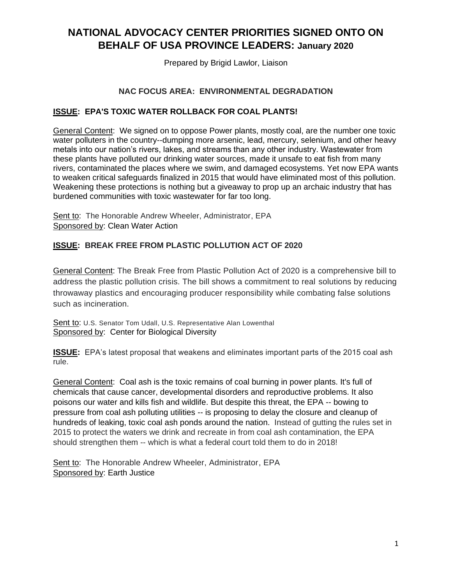# **NATIONAL ADVOCACY CENTER PRIORITIES SIGNED ONTO ON BEHALF OF USA PROVINCE LEADERS: January 2020**

Prepared by Brigid Lawlor, Liaison

#### **NAC FOCUS AREA: ENVIRONMENTAL DEGRADATION**

#### **ISSUE: EPA'S TOXIC WATER ROLLBACK FOR COAL PLANTS!**

General Content: We signed on to oppose Power plants, mostly coal, are the number one toxic water polluters in the country--dumping more arsenic, lead, mercury, selenium, and other heavy metals into our nation's rivers, lakes, and streams than any other industry. Wastewater from these plants have polluted our drinking water sources, made it unsafe to eat fish from many rivers, contaminated the places where we swim, and damaged ecosystems. Yet now EPA wants to weaken critical safeguards finalized in 2015 that would have eliminated most of this pollution. Weakening these protections is nothing but a giveaway to prop up an archaic industry that has burdened communities with toxic wastewater for far too long.

Sent to: The Honorable Andrew Wheeler, Administrator, EPA Sponsored by: Clean Water Action

## **ISSUE: BREAK FREE FROM PLASTIC POLLUTION ACT OF 2020**

General Content: The Break Free from Plastic Pollution Act of 2020 is a comprehensive bill to address the plastic pollution crisis. The bill shows a commitment to real solutions by reducing throwaway plastics and encouraging producer responsibility while combating false solutions such as incineration.

Sent to: U.S. Senator Tom Udall, U.S. Representative Alan Lowenthal Sponsored by: Center for Biological Diversity

**ISSUE:** EPA's latest proposal that weakens and eliminates important parts of the 2015 coal ash rule.

General Content: Coal ash is the toxic remains of coal burning in power plants. It's full of chemicals that cause cancer, developmental disorders and reproductive problems. It also poisons our water and kills fish and wildlife. But despite this threat, the EPA -- bowing to pressure from coal ash polluting utilities -- is proposing to delay the closure and cleanup of hundreds of leaking, toxic coal ash ponds around the nation. Instead of gutting the rules set in 2015 to protect the waters we drink and recreate in from coal ash contamination, the EPA should strengthen them -- which is what a federal court told them to do in 2018!

Sent to: The Honorable Andrew Wheeler, Administrator, EPA Sponsored by: Earth Justice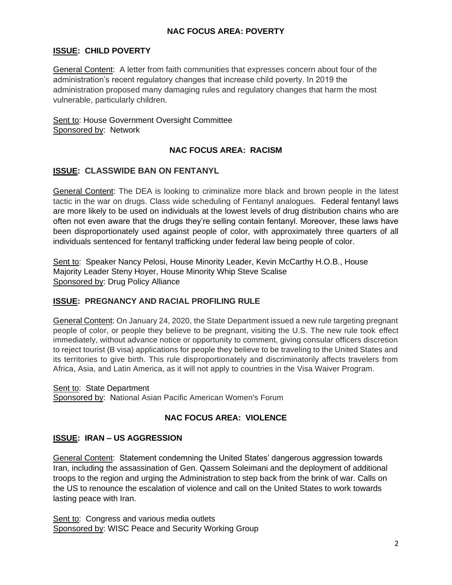#### **NAC FOCUS AREA: POVERTY**

# **ISSUE: CHILD POVERTY**

General Content: A letter from faith communities that expresses concern about four of the administration's recent regulatory changes that increase child poverty. In 2019 the administration proposed many damaging rules and regulatory changes that harm the most vulnerable, particularly children.

Sent to: House Government Oversight Committee Sponsored by: Network

#### **NAC FOCUS AREA: RACISM**

## **ISSUE: CLASSWIDE BAN ON FENTANYL**

General Content: The DEA is looking to criminalize more black and brown people in the latest tactic in the war on drugs. Class wide scheduling of Fentanyl analogues. Federal fentanyl laws are more likely to be used on individuals at the lowest levels of drug distribution chains who are often not even aware that the drugs they're selling contain fentanyl. Moreover, these laws have been disproportionately used against people of color, with approximately three quarters of all individuals sentenced for fentanyl trafficking under federal law being people of color.

Sent to: Speaker Nancy Pelosi, House Minority Leader, Kevin McCarthy H.O.B., House Majority Leader Steny Hoyer, House Minority Whip Steve Scalise Sponsored by: Drug Policy Alliance

## **ISSUE: PREGNANCY AND RACIAL PROFILING RULE**

General Content: On January 24, 2020, the State Department issued a new rule targeting pregnant people of color, or people they believe to be pregnant, visiting the U.S. The new rule took effect immediately, without advance notice or opportunity to comment, giving consular officers discretion to reject tourist (B visa) applications for people they believe to be traveling to the United States and its territories to give birth. This rule disproportionately and discriminatorily affects travelers from Africa, Asia, and Latin America, as it will not apply to countries in the Visa Waiver Program.

#### Sent to: State Department

Sponsored by: National Asian Pacific American Women's Forum

## **NAC FOCUS AREA: VIOLENCE**

#### **ISSUE: IRAN – US AGGRESSION**

General Content: Statement condemning the United States' dangerous aggression towards Iran, including the assassination of Gen. Qassem Soleimani and the deployment of additional troops to the region and urging the Administration to step back from the brink of war. Calls on the US to renounce the escalation of violence and call on the United States to work towards lasting peace with Iran.

Sent to: Congress and various media outlets Sponsored by: WISC Peace and Security Working Group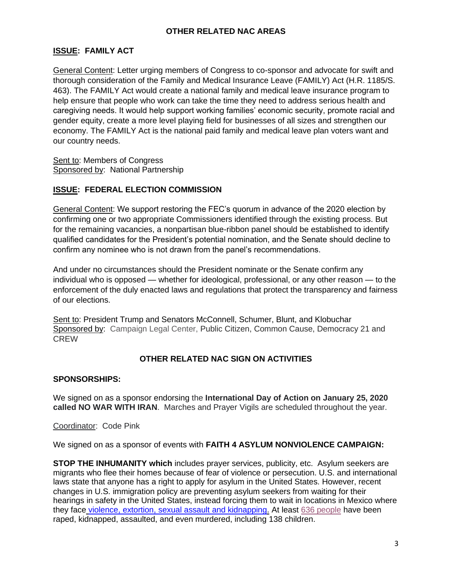#### **OTHER RELATED NAC AREAS**

## **ISSUE: FAMILY ACT**

General Content: Letter urging members of Congress to co-sponsor and advocate for swift and thorough consideration of the Family and Medical Insurance Leave (FAMILY) Act (H.R. 1185/S. 463). The FAMILY Act would create a national family and medical leave insurance program to help ensure that people who work can take the time they need to address serious health and caregiving needs. It would help support working families' economic security, promote racial and gender equity, create a more level playing field for businesses of all sizes and strengthen our economy. The FAMILY Act is the national paid family and medical leave plan voters want and our country needs.

Sent to: Members of Congress Sponsored by: National Partnership

#### **ISSUE: FEDERAL ELECTION COMMISSION**

General Content: We support restoring the FEC's quorum in advance of the 2020 election by confirming one or two appropriate Commissioners identified through the existing process. But for the remaining vacancies, a nonpartisan blue-ribbon panel should be established to identify qualified candidates for the President's potential nomination, and the Senate should decline to confirm any nominee who is not drawn from the panel's recommendations.

And under no circumstances should the President nominate or the Senate confirm any individual who is opposed — whether for ideological, professional, or any other reason — to the enforcement of the duly enacted laws and regulations that protect the transparency and fairness of our elections.

Sent to: President Trump and Senators McConnell, Schumer, Blunt, and Klobuchar Sponsored by: Campaign Legal Center, Public Citizen, Common Cause, Democracy 21 and **CREW** 

## **OTHER RELATED NAC SIGN ON ACTIVITIES**

#### **SPONSORSHIPS:**

We signed on as a sponsor endorsing the **International Day of Action on January 25, 2020 called NO WAR WITH IRAN**. Marches and Prayer Vigils are scheduled throughout the year.

#### Coordinator: Code Pink

We signed on as a sponsor of events with **FAITH 4 ASYLUM NONVIOLENCE CAMPAIGN:**

**STOP THE INHUMANITY which** includes prayer services, publicity, etc. Asylum seekers are migrants who flee their homes because of fear of violence or persecution. U.S. and international laws state that anyone has a right to apply for asylum in the United States. However, recent changes in U.S. immigration policy are preventing asylum seekers from waiting for their hearings in safety in the United States, instead forcing them to wait in locations in Mexico where they face [violence, extortion, sexual assault and kidnapping.](https://www.thisamericanlife.org/688/the-out-crowd) At least [636 people](https://www.humanrightsfirst.org/sites/default/files/HumanRightsFiascoDec19.pdf) have been raped, kidnapped, assaulted, and even murdered, including 138 children.